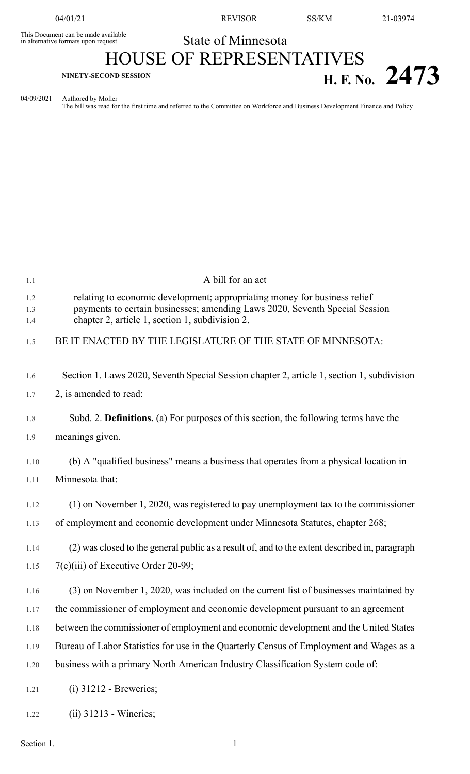This Document can be made available<br>in alternative formats upon request

04/01/21 REVISOR SS/KM 21-03974

## State of Minnesota HOUSE OF REPRESENTATIVES

## **H. F. No.** 2473

04/09/2021 Authored by Moller The bill was read for the first time and referred to the Committee on Workforce and Business Development Finance and Policy

| 1.1               | A bill for an act                                                                                                                                                                                           |
|-------------------|-------------------------------------------------------------------------------------------------------------------------------------------------------------------------------------------------------------|
| 1.2<br>1.3<br>1.4 | relating to economic development; appropriating money for business relief<br>payments to certain businesses; amending Laws 2020, Seventh Special Session<br>chapter 2, article 1, section 1, subdivision 2. |
| 1.5               | BE IT ENACTED BY THE LEGISLATURE OF THE STATE OF MINNESOTA:                                                                                                                                                 |
| 1.6               | Section 1. Laws 2020, Seventh Special Session chapter 2, article 1, section 1, subdivision                                                                                                                  |
| 1.7               | 2, is amended to read:                                                                                                                                                                                      |
| 1.8               | Subd. 2. Definitions. (a) For purposes of this section, the following terms have the                                                                                                                        |
| 1.9               | meanings given.                                                                                                                                                                                             |
| 1.10              | (b) A "qualified business" means a business that operates from a physical location in                                                                                                                       |
| 1.11              | Minnesota that:                                                                                                                                                                                             |
| 1.12              | $(1)$ on November 1, 2020, was registered to pay unemployment tax to the commissioner                                                                                                                       |
| 1.13              | of employment and economic development under Minnesota Statutes, chapter 268;                                                                                                                               |
| 1.14              | (2) was closed to the general public as a result of, and to the extent described in, paragraph                                                                                                              |
| 1.15              | $7(c)(iii)$ of Executive Order 20-99;                                                                                                                                                                       |
| 1.16              | (3) on November 1, 2020, was included on the current list of businesses maintained by                                                                                                                       |
| 1.17              | the commissioner of employment and economic development pursuant to an agreement                                                                                                                            |
| 1.18              | between the commissioner of employment and economic development and the United States                                                                                                                       |
| 1.19              | Bureau of Labor Statistics for use in the Quarterly Census of Employment and Wages as a                                                                                                                     |
| 1.20              | business with a primary North American Industry Classification System code of:                                                                                                                              |
| 1.21              | $(i)$ 31212 - Breweries;                                                                                                                                                                                    |
| 1.22              | $(ii)$ 31213 - Wineries;                                                                                                                                                                                    |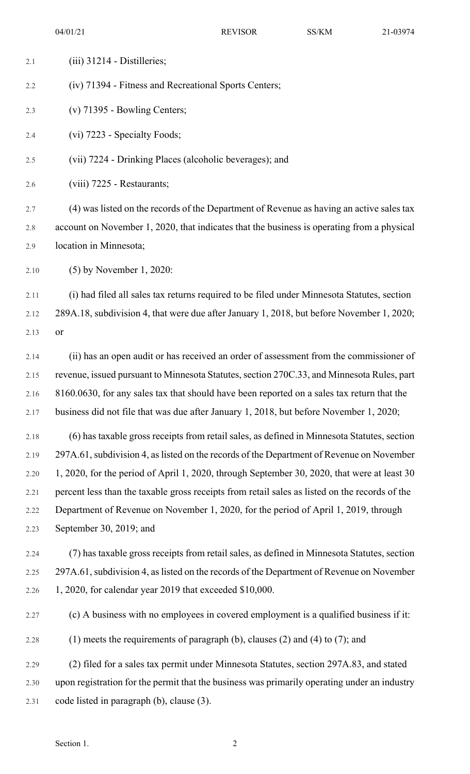| 2.1  | $(iii)$ 31214 - Distilleries;                                                                  |
|------|------------------------------------------------------------------------------------------------|
| 2.2  | (iv) 71394 - Fitness and Recreational Sports Centers;                                          |
| 2.3  | $(v)$ 71395 - Bowling Centers;                                                                 |
| 2.4  | (vi) 7223 - Specialty Foods;                                                                   |
| 2.5  | (vii) 7224 - Drinking Places (alcoholic beverages); and                                        |
| 2.6  | (viii) 7225 - Restaurants;                                                                     |
| 2.7  | (4) was listed on the records of the Department of Revenue as having an active sales tax       |
| 2.8  | account on November 1, 2020, that indicates that the business is operating from a physical     |
| 2.9  | location in Minnesota;                                                                         |
| 2.10 | $(5)$ by November 1, 2020:                                                                     |
| 2.11 | (i) had filed all sales tax returns required to be filed under Minnesota Statutes, section     |
| 2.12 | 289A.18, subdivision 4, that were due after January 1, 2018, but before November 1, 2020;      |
| 2.13 | or                                                                                             |
| 2.14 | (ii) has an open audit or has received an order of assessment from the commissioner of         |
| 2.15 | revenue, issued pursuant to Minnesota Statutes, section 270C.33, and Minnesota Rules, part     |
| 2.16 | 8160.0630, for any sales tax that should have been reported on a sales tax return that the     |
| 2.17 | business did not file that was due after January 1, 2018, but before November 1, 2020;         |
| 2.18 | (6) has taxable gross receipts from retail sales, as defined in Minnesota Statutes, section    |
| 2.19 | 297A.61, subdivision 4, as listed on the records of the Department of Revenue on November      |
| 2.20 | 1, 2020, for the period of April 1, 2020, through September 30, 2020, that were at least 30    |
| 2.21 | percent less than the taxable gross receipts from retail sales as listed on the records of the |
| 2.22 | Department of Revenue on November 1, 2020, for the period of April 1, 2019, through            |
| 2.23 | September 30, 2019; and                                                                        |
| 2.24 | (7) has taxable gross receipts from retail sales, as defined in Minnesota Statutes, section    |
| 2.25 | 297A.61, subdivision 4, as listed on the records of the Department of Revenue on November      |
| 2.26 | 1, 2020, for calendar year 2019 that exceeded \$10,000.                                        |
| 2.27 | (c) A business with no employees in covered employment is a qualified business if it:          |
| 2.28 | (1) meets the requirements of paragraph (b), clauses (2) and (4) to (7); and                   |
| 2.29 | (2) filed for a sales tax permit under Minnesota Statutes, section 297A.83, and stated         |
| 2.30 | upon registration for the permit that the business was primarily operating under an industry   |
| 2.31 | code listed in paragraph (b), clause (3).                                                      |